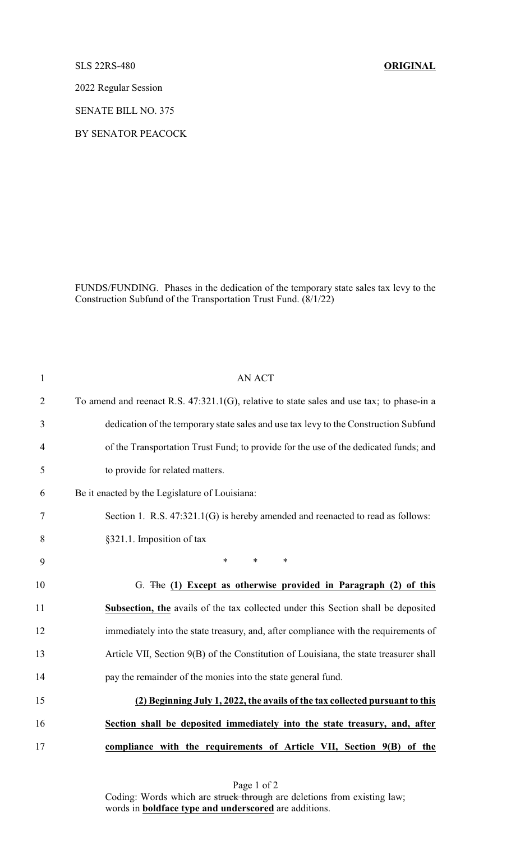## SLS 22RS-480 **ORIGINAL**

2022 Regular Session

SENATE BILL NO. 375

BY SENATOR PEACOCK

FUNDS/FUNDING. Phases in the dedication of the temporary state sales tax levy to the Construction Subfund of the Transportation Trust Fund. (8/1/22)

| $\mathbf{1}$   | <b>AN ACT</b>                                                                             |
|----------------|-------------------------------------------------------------------------------------------|
| $\overline{2}$ | To amend and reenact R.S. 47:321.1(G), relative to state sales and use tax; to phase-in a |
| 3              | dedication of the temporary state sales and use tax levy to the Construction Subfund      |
| 4              | of the Transportation Trust Fund; to provide for the use of the dedicated funds; and      |
| 5              | to provide for related matters.                                                           |
| 6              | Be it enacted by the Legislature of Louisiana:                                            |
| 7              | Section 1. R.S. 47:321.1(G) is hereby amended and reenacted to read as follows:           |
| 8              | §321.1. Imposition of tax                                                                 |
| 9              | $\ast$<br>$\ast$<br>$\ast$                                                                |
| 10             | G. The (1) Except as otherwise provided in Paragraph (2) of this                          |
| 11             | <b>Subsection, the</b> avails of the tax collected under this Section shall be deposited  |
| 12             | immediately into the state treasury, and, after compliance with the requirements of       |
| 13             | Article VII, Section 9(B) of the Constitution of Louisiana, the state treasurer shall     |
| 14             | pay the remainder of the monies into the state general fund.                              |
| 15             | (2) Beginning July 1, 2022, the avails of the tax collected pursuant to this              |
| 16             | Section shall be deposited immediately into the state treasury, and, after                |
| 17             | compliance with the requirements of Article VII, Section 9(B) of the                      |

Page 1 of 2 Coding: Words which are struck through are deletions from existing law; words in **boldface type and underscored** are additions.